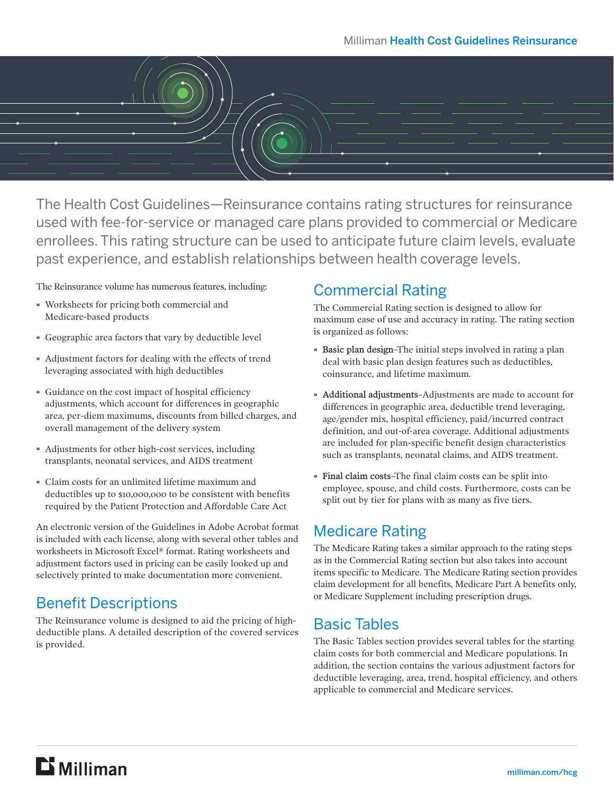

The Health Cost Guidelines—Reinsurance contains rating structures for reinsurance used with fee-for-service or managed care plans provided to commercial or Medicare enrollees. This rating structure can be used to anticipate future claim levels, evaluate past experience, and establish relationships between health coverage levels.

The Reinsurance volume has numerous features, including:

- · Worksheets for pricing both commercial and Medicare-based products
- · Geographic area factors that vary by deductible level
- · Adjustment factors for dealing with the effects of trend leveraging associated with high deductibles
- · Guidance on the cost impact of hospital efficiency adjustments, which account for differences in geographic area, per-diem maximums, discounts from billed charges, and overall management of the delivery system
- · Adjustments for other high-cost services, including transplants, neonatal services, and AIDS treatment
- · Claim costs for an unlimited lifetime maximum and deductibles up to \$10,000,000 to be consistent with benefits required by the Patient Protection and Affordable Care Act

An electronic version of the Guidelines in Adobe Acrobat format is included with each license, along with several other tables and worksheets in Microsoft Excel® format. Rating worksheets and adjustment factors used in pricing can be easily looked up and selectively printed to make documentation more convenient.

# Benefit Descriptions

The Reinsurance volume is designed to aid the pricing of highdeductible plans. A detailed description of the covered services is provided.

#### Commercial Rating

The Commercial Rating section is designed to allow for maximum ease of use and accuracy in rating. The rating section is organized as follows:

- · Basic plan design–The initial steps involved in rating a plan deal with basic plan design features such as deductibles, coinsurance, and lifetime maximum.
- · Additional adjustments–Adjustments are made to account for differences in geographic area, deductible trend leveraging, age/gender mix, hospital efficiency, paid/incurred contract definition, and out-of-area coverage. Additional adjustments are included for plan-specific benefit design characteristics such as transplants, neonatal claims, and AIDS treatment.
- · Final claim costs–The final claim costs can be split into employee, spouse, and child costs. Furthermore, costs can be split out by tier for plans with as many as five tiers.

# Medicare Rating

The Medicare Rating takes a similar approach to the rating steps as in the Commercial Rating section but also takes into account items specific to Medicare. The Medicare Rating section provides claim development for all benefits, Medicare Part A benefits only, or Medicare Supplement including prescription drugs.

# Basic Tables

The Basic Tables section provides several tables for the starting claim costs for both commercial and Medicare populations. In addition, the section contains the various adjustment factors for deductible leveraging, area, trend, hospital efficiency, and others applicable to commercial and Medicare services.